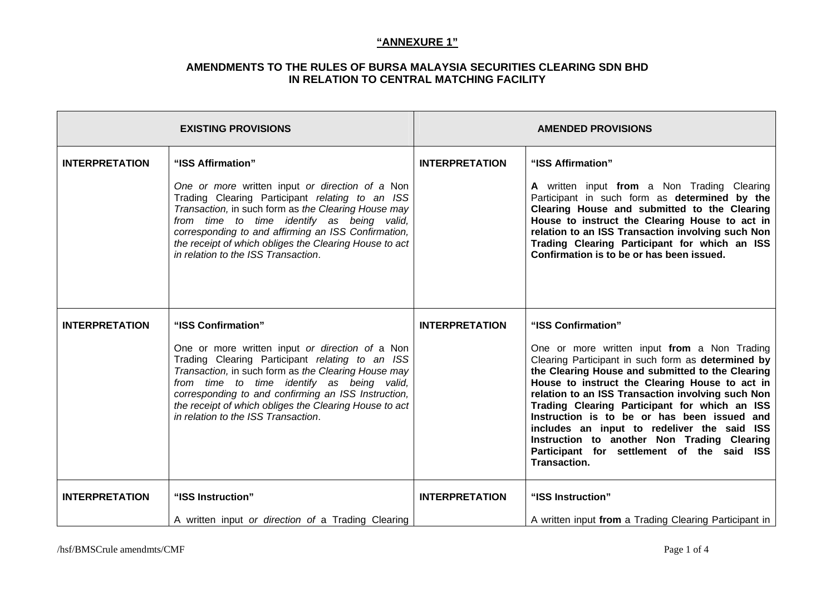| <b>EXISTING PROVISIONS</b> |                                                                                                                                                                                                                                                                                                                                                                                       | <b>AMENDED PROVISIONS</b> |                                                                                                                                                                                                                                                                                                                                                                                                                                                                                                                                                 |
|----------------------------|---------------------------------------------------------------------------------------------------------------------------------------------------------------------------------------------------------------------------------------------------------------------------------------------------------------------------------------------------------------------------------------|---------------------------|-------------------------------------------------------------------------------------------------------------------------------------------------------------------------------------------------------------------------------------------------------------------------------------------------------------------------------------------------------------------------------------------------------------------------------------------------------------------------------------------------------------------------------------------------|
| <b>INTERPRETATION</b>      | "ISS Affirmation"<br>One or more written input or direction of a Non<br>Trading Clearing Participant relating to an ISS<br>Transaction, in such form as the Clearing House may<br>from time to time identify as being valid,<br>corresponding to and affirming an ISS Confirmation,<br>the receipt of which obliges the Clearing House to act<br>in relation to the ISS Transaction.  | <b>INTERPRETATION</b>     | "ISS Affirmation"<br>A written input from a Non Trading Clearing<br>Participant in such form as determined by the<br>Clearing House and submitted to the Clearing<br>House to instruct the Clearing House to act in<br>relation to an ISS Transaction involving such Non<br>Trading Clearing Participant for which an ISS<br>Confirmation is to be or has been issued.                                                                                                                                                                          |
| <b>INTERPRETATION</b>      | "ISS Confirmation"<br>One or more written input or direction of a Non<br>Trading Clearing Participant relating to an ISS<br>Transaction, in such form as the Clearing House may<br>from time to time identify as being valid,<br>corresponding to and confirming an ISS Instruction,<br>the receipt of which obliges the Clearing House to act<br>in relation to the ISS Transaction. | <b>INTERPRETATION</b>     | "ISS Confirmation"<br>One or more written input from a Non Trading<br>Clearing Participant in such form as determined by<br>the Clearing House and submitted to the Clearing<br>House to instruct the Clearing House to act in<br>relation to an ISS Transaction involving such Non<br>Trading Clearing Participant for which an ISS<br>Instruction is to be or has been issued and<br>includes an input to redeliver the said ISS<br>Instruction to another Non Trading Clearing<br>Participant for settlement of the said ISS<br>Transaction. |
| <b>INTERPRETATION</b>      | "ISS Instruction"<br>A written input or direction of a Trading Clearing                                                                                                                                                                                                                                                                                                               | <b>INTERPRETATION</b>     | "ISS Instruction"<br>A written input from a Trading Clearing Participant in                                                                                                                                                                                                                                                                                                                                                                                                                                                                     |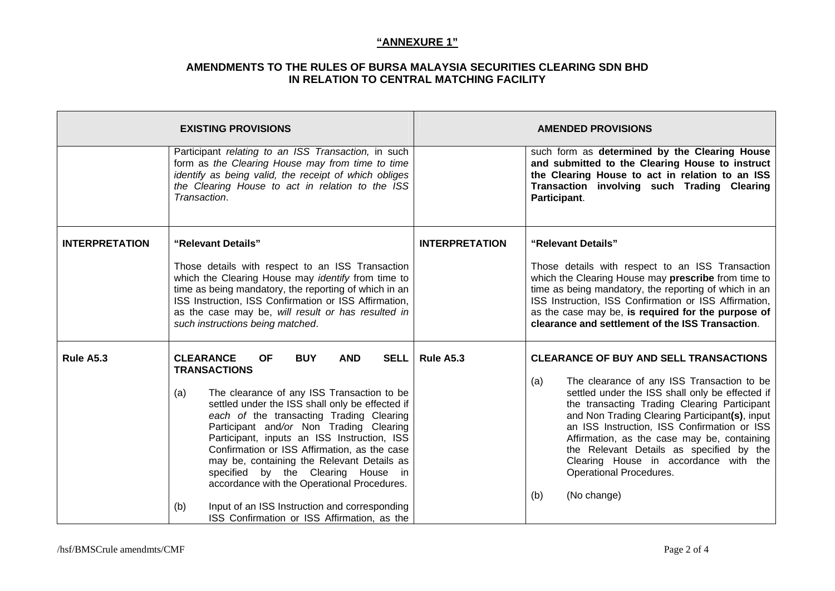|                       | <b>EXISTING PROVISIONS</b>                                                                                                                                                                                                                                                                                                                                                                                                                                                                                                                                                                                                              |                       | <b>AMENDED PROVISIONS</b>                                                                                                                                                                                                                                                                                                                                                                                                                                                                   |
|-----------------------|-----------------------------------------------------------------------------------------------------------------------------------------------------------------------------------------------------------------------------------------------------------------------------------------------------------------------------------------------------------------------------------------------------------------------------------------------------------------------------------------------------------------------------------------------------------------------------------------------------------------------------------------|-----------------------|---------------------------------------------------------------------------------------------------------------------------------------------------------------------------------------------------------------------------------------------------------------------------------------------------------------------------------------------------------------------------------------------------------------------------------------------------------------------------------------------|
|                       | Participant relating to an ISS Transaction, in such<br>form as the Clearing House may from time to time<br>identify as being valid, the receipt of which obliges<br>the Clearing House to act in relation to the ISS<br>Transaction.                                                                                                                                                                                                                                                                                                                                                                                                    |                       | such form as determined by the Clearing House<br>and submitted to the Clearing House to instruct<br>the Clearing House to act in relation to an ISS<br>Transaction involving such Trading Clearing<br>Participant.                                                                                                                                                                                                                                                                          |
| <b>INTERPRETATION</b> | "Relevant Details"<br>Those details with respect to an ISS Transaction<br>which the Clearing House may <i>identify</i> from time to<br>time as being mandatory, the reporting of which in an<br>ISS Instruction, ISS Confirmation or ISS Affirmation,<br>as the case may be, will result or has resulted in<br>such instructions being matched.                                                                                                                                                                                                                                                                                         | <b>INTERPRETATION</b> | "Relevant Details"<br>Those details with respect to an ISS Transaction<br>which the Clearing House may prescribe from time to<br>time as being mandatory, the reporting of which in an<br>ISS Instruction, ISS Confirmation or ISS Affirmation,<br>as the case may be, is required for the purpose of<br>clearance and settlement of the ISS Transaction.                                                                                                                                   |
| Rule A5.3             | <b>CLEARANCE</b><br><b>BUY</b><br><b>AND</b><br><b>OF</b><br><b>SELL</b><br><b>TRANSACTIONS</b><br>The clearance of any ISS Transaction to be<br>(a)<br>settled under the ISS shall only be effected if<br>each of the transacting Trading Clearing<br>Participant and/or Non Trading Clearing<br>Participant, inputs an ISS Instruction, ISS<br>Confirmation or ISS Affirmation, as the case<br>may be, containing the Relevant Details as<br>specified by the Clearing House in<br>accordance with the Operational Procedures.<br>Input of an ISS Instruction and corresponding<br>(b)<br>ISS Confirmation or ISS Affirmation, as the | Rule A5.3             | <b>CLEARANCE OF BUY AND SELL TRANSACTIONS</b><br>The clearance of any ISS Transaction to be<br>(a)<br>settled under the ISS shall only be effected if<br>the transacting Trading Clearing Participant<br>and Non Trading Clearing Participant(s), input<br>an ISS Instruction, ISS Confirmation or ISS<br>Affirmation, as the case may be, containing<br>the Relevant Details as specified by the<br>Clearing House in accordance with the<br>Operational Procedures.<br>(No change)<br>(b) |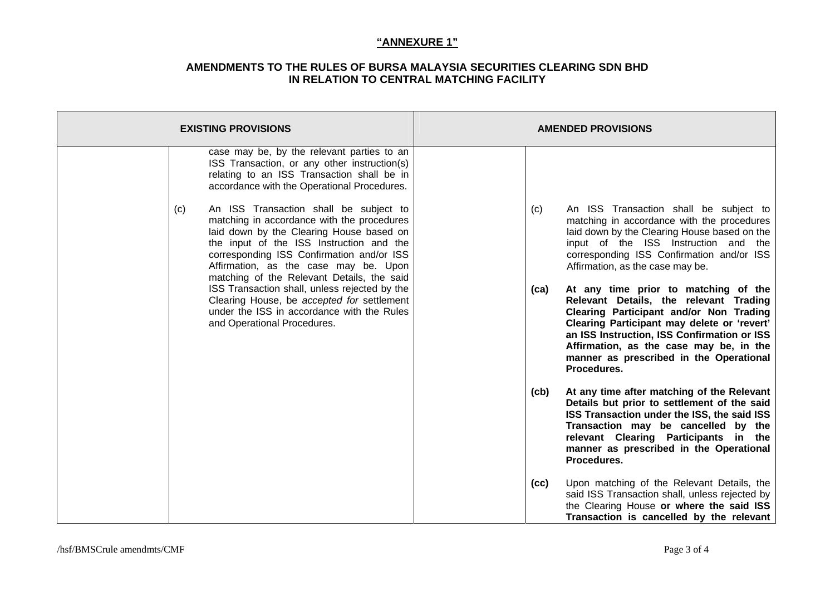| <b>EXISTING PROVISIONS</b>                                                                                                                                                                                                                                                                                                                                               | <b>AMENDED PROVISIONS</b>                                                                                                                                                                                                                                                                                            |
|--------------------------------------------------------------------------------------------------------------------------------------------------------------------------------------------------------------------------------------------------------------------------------------------------------------------------------------------------------------------------|----------------------------------------------------------------------------------------------------------------------------------------------------------------------------------------------------------------------------------------------------------------------------------------------------------------------|
| case may be, by the relevant parties to an<br>ISS Transaction, or any other instruction(s)<br>relating to an ISS Transaction shall be in<br>accordance with the Operational Procedures.                                                                                                                                                                                  |                                                                                                                                                                                                                                                                                                                      |
| An ISS Transaction shall be subject to<br>(c)<br>matching in accordance with the procedures<br>laid down by the Clearing House based on<br>the input of the ISS Instruction and the<br>corresponding ISS Confirmation and/or ISS<br>Affirmation, as the case may be. Upon<br>matching of the Relevant Details, the said<br>ISS Transaction shall, unless rejected by the | An ISS Transaction shall be subject to<br>(c)<br>matching in accordance with the procedures<br>laid down by the Clearing House based on the<br>input of the ISS Instruction and the<br>corresponding ISS Confirmation and/or ISS<br>Affirmation, as the case may be.<br>At any time prior to matching of the<br>(ca) |
| Clearing House, be accepted for settlement<br>under the ISS in accordance with the Rules<br>and Operational Procedures.                                                                                                                                                                                                                                                  | Relevant Details, the relevant Trading<br>Clearing Participant and/or Non Trading<br>Clearing Participant may delete or 'revert'<br>an ISS Instruction, ISS Confirmation or ISS<br>Affirmation, as the case may be, in the<br>manner as prescribed in the Operational<br>Procedures.                                 |
|                                                                                                                                                                                                                                                                                                                                                                          | At any time after matching of the Relevant<br>(cb)<br>Details but prior to settlement of the said<br>ISS Transaction under the ISS, the said ISS<br>Transaction may be cancelled by the<br>relevant Clearing Participants in the<br>manner as prescribed in the Operational<br>Procedures.                           |
|                                                                                                                                                                                                                                                                                                                                                                          | Upon matching of the Relevant Details, the<br>(cc)<br>said ISS Transaction shall, unless rejected by<br>the Clearing House or where the said ISS<br>Transaction is cancelled by the relevant                                                                                                                         |